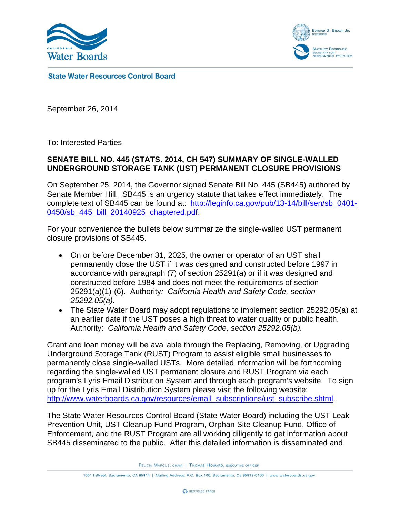



State Water Resources Control Board

September 26, 2014

To: Interested Parties

## **SENATE BILL NO. 445 (STATS. 2014, CH 547) SUMMARY OF SINGLE-WALLED UNDERGROUND STORAGE TANK (UST) PERMANENT CLOSURE PROVISIONS**

On September 25, 2014, the Governor signed Senate Bill No. 445 (SB445) authored by Senate Member Hill. SB445 is an urgency statute that takes effect immediately. The complete text of SB445 can be found at: [http://leginfo.ca.gov/pub/13-14/bill/sen/sb\\_0401](http://leginfo.ca.gov/pub/13-14/bill/sen/sb_0401-0450/sb_445_bill_20140925_chaptered.pdf)-0450/sb 445 bill 20140925 chaptered.pdf.

For your convenience the bullets below summarize the single-walled UST permanent closure provisions of SB445.

- On or before December 31, 2025, the owner or operator of an UST shall permanently close the UST if it was designed and constructed before 1997 in accordance with paragraph (7) of section 25291(a) or if it was designed and constructed before 1984 and does not meet the requirements of section 25291(a)(1)-(6). Authority*: California Health and Safety Code, section 25292.05(a).*
- The State Water Board may adopt regulations to implement section 25292.05(a) at an earlier date if the UST poses a high threat to water quality or public health. Authority: *California Health and Safety Code, section 25292.05(b).*

Grant and loan money will be available through the Replacing, Removing, or Upgrading Underground Storage Tank (RUST) Program to assist eligible small businesses to permanently close single-walled USTs. More detailed information will be forthcoming regarding the single-walled UST permanent closure and RUST Program via each program's Lyris Email Distribution System and through each program's website. To sign up for the Lyris Email Distribution System please visit the following website: [http://www.waterboards.ca.gov/resources/email\\_subscriptions/ust\\_subscribe.shtml](http://www.waterboards.ca.gov/resources/email_subscriptions/ust_subscribe.shtml).

The State Water Resources Control Board (State Water Board) including the UST Leak Prevention Unit, UST Cleanup Fund Program, Orphan Site Cleanup Fund, Office of Enforcement, and the RUST Program are all working diligently to get information about SB445 disseminated to the public. After this detailed information is disseminated and

FELICIA MARCUS, CHAIR | THOMAS HOWARD, EXECUTIVE OFFICER